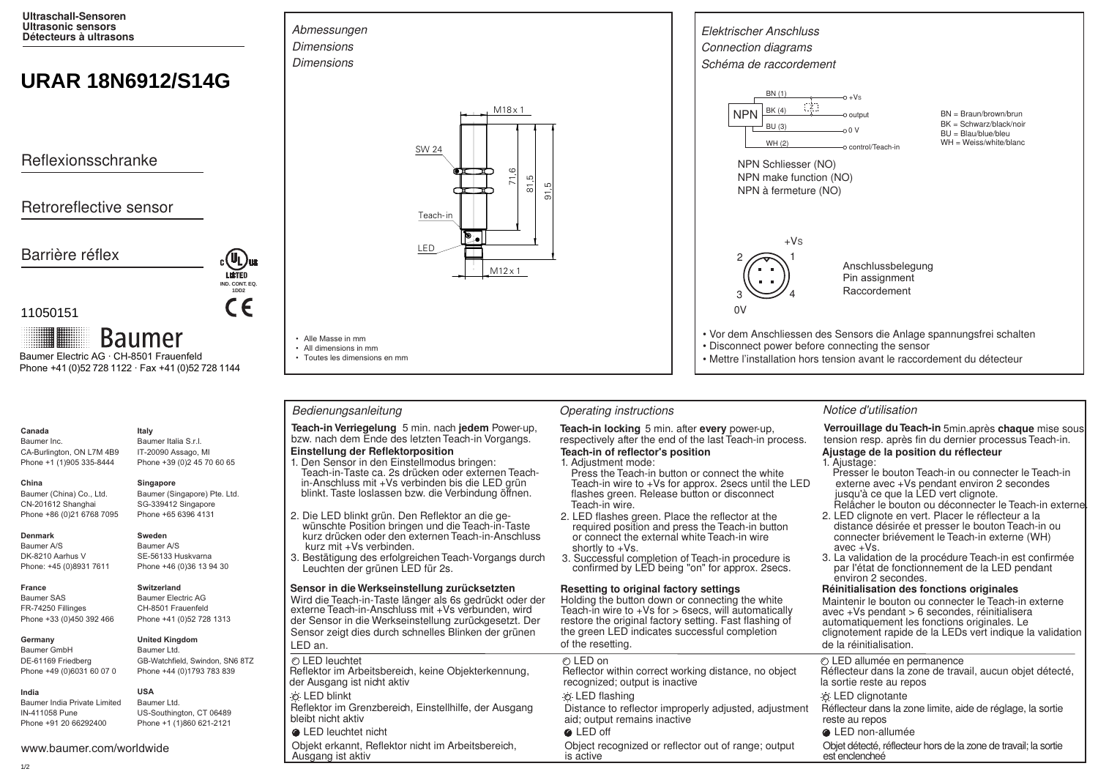**Ultraschall-Sensoren Ultrasonic sensors Détecteurs à ultrasons**

# **URAR 18N6912/S14G**

Reflexionsschranke

# Retroreflective sensor

Barrière réflex



## 11050151

**Baumer** Baumer Electric AG · CH-8501 Frauenfeld Phone +41 (0)52 728 1122 · Fax +41 (0)52 728 1144

## **Canada**

Baumer Inc. CA-Burlington, ON L7M 4B9 Phone +1 (1)905 335-8444

# Baumer (China) Co., Ltd.

Baumer (Singapore) Pte. Ltd. SG-339412 Singapore

### **Denmark**

**France**

**China** 

Baumer A/S DK-8210 Aarhus V Phone: +45 (0)8931 7611

Baumer SAS FR-74250 Fillinges Phone +33 (0)450 392 466

### **Germany**

Baumer GmbH DE-61169 Friedberg Phone +49 (0)6031 60 07 0

Baumer India Private Limited IN-411058 Pune Phone +91 20 66292400

www.baumer.com/worldwide

### **Italy** Baumer Italia S.r.l.

IT-20090 Assago, MI Phone +39 (0)2 45 70 60 65

# **Singapore**

Phone +65 6396 4131

# Phone +86 (0)21 6768 7095

CN-201612 Shanghai

**Sweden** Baumer A/S SE-56133 Huskvarna Phone +46 (0)36 13 94 30

# **Switzerland**

**United Kingdom**

Baumer Electric AG CH-8501 Frauenfeld Phone +41 (0)52 728 1313

Baumer Ltd. GB-Watchfield, Swindon, SN6 8TZ Phone +44 (0)1793 783 839

**USA** Baumer Ltd. US-Southington, CT 06489 Phone +1 (1)860 621-2121





• Alle Masse in mm • All dimensions in mm • Toutes les dimensions en mm

**Teach-in Verriegelung** 5 min. nach **jedem** Power-up, **Teach-in locking** 5 min. after every power-up, bzw. nach dem Ende des letzten Teach-in vorgangs. respectively after the end of the last Teach-in p

# **Einstellung der Reflektorposition**

- Teach-in-Taste ca. 2s drücken oder externen Teachin-Anschluss mit +Vs verbinden bis die LED grün 1. Den Sensor in den Einstellmodus bringen: blinkt. Taste loslassen bzw. die Verbindung öffnen.
- 2. Die LED blinkt grün. Den Reflektor an die ge-
- wünschte Position bringen und die Teach-in-Taste kurz drücken oder den externen Teach-in-Anschluss kurz mit +Vs verbinden.
- 3. Bestätigung des erfolgreichen Teach-Vorgangs durch Leuchten der grünen LED für 2s.

### **Sensor in die Werkseinstellung zurücksetzten**

Wird die Teach-in-Taste länger als 6s gedrückt oder der externe Teach-in-Anschluss mit +Vs verbunden, wird der Sensor in die Werkseinstellung zurückgesetzt. Der Sensor zeigt dies durch schnelles Blinken der grünen LED an.

o LED blinkt<br>Reflektor im Grenzbereich, Einstellhilfe, der Ausgang bistance to refle Reflektor im Grenzbereich, Einstellhilfe, der Ausgang Distance to reflector improperly adjusted, adjustment bleibt nicht aktiv

# LED leuchtet nicht LED off LED non-allumée

Ausgang ist aktiv



- Disconnect power before connecting the sensor
- Mettre l'installation hors tension avant le raccordement du détecteur

### Bedienungsanleitung **Christian Contractions** Operating instructions **Notice d'utilisation** Notice d'utilisation

respectively after the end of the last Teach-in process. **Teach-in of reflector's position**

### 1. Adjustment mode:

- Press the Teach-in button or connect the white Teach-in wire to +Vs for approx. 2secs until the LED flashes green. Release button or disconnect Teach-in wire.
- 2. LED flashes green. Place the reflector at the required position and press the Teach-in button or connect the external white Teach-in wire shortly to +Vs.
- 3. Successful completion of Teach-in procedure is confirmed by LED being "on" for approx. 2secs.

### **Resetting to original factory settings**

Holding the button down or connecting the white Teach-in wire to  $+Vs$  for  $>$  6 secs, will automatically restore the original factory setting. Fast flashing of the green LED indicates successful completion of the resetting.

aid; output remains inactive

Verrouillage du Teach-in 5min. après chaque mise sous tension resp. après fin du dernier processus Teach-in. **Ajustage de la position du réflecteur**

### 1. Ajustage:

- Presser le bouton Teach-in ou connecter le Teach-in externe avec +Vs pendant environ 2 secondes jusqu'à ce que la LED vert clignote. Relâcher le bouton ou déconnecter le Teach-in externe
- 2. LED clignote en vert. Placer le réflecteur a la distance désirée et presser le bouton Teach-in ou connecter briévement le Teach-in externe (WH) avec +Vs.
- 3. La validation de la procédure Teach-in est confirmée par I'état de fonctionnement de la LED pendant environ 2 secondes.

### **Réinitialisation des fonctions originales**

Maintenir le bouton ou connecter le Teach-in externe avec +Vs pendant > 6 secondes, réinitialisera automatiquement les fonctions originales. Le clignotement rapide de la LEDs vert indique la validation de la réinitialisation.

| LED leuchtet                                        | ⊘ I FD on                                             | © LED allumée en permanence                                |
|-----------------------------------------------------|-------------------------------------------------------|------------------------------------------------------------|
| flektor im Arbeitsbereich, keine Objekterkennung,   | Reflector within correct working distance, no object  | Réflecteur dans la zone de travail, aucun objet détecté,   |
| r Ausgang ist nicht aktiv                           | recognized; output is inactive                        | la sortie reste au repos                                   |
| <b>LED blinkt</b>                                   | ⊙ LED flashing                                        | <b><i>i</i></b> LED clignotante                            |
| flektor im Grenzbereich, Einstellhilfe, der Ausgang | Distance to reflector improperly adjusted, adjustment | Réflecteur dans la zone limite, aide de réglage, la sortie |
| ibt nicht aktiv                                     | aid: output remains inactive                          | reste au repos                                             |

Objekt erkannt, Reflektor nicht im Arbeitsbereich, Object recognized or reflector out of range; output Objet détecté, réflecteur hors de la zone de travail; la sortie is active is active

**India**